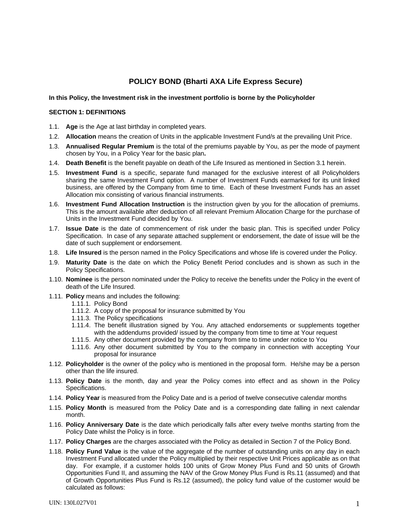# **POLICY BOND (Bharti AXA Life Express Secure)**

# **In this Policy, the Investment risk in the investment portfolio is borne by the Policyholder**

# **SECTION 1: DEFINITIONS**

- 1.1. **Age** is the Age at last birthday in completed years.
- 1.2. **Allocation** means the creation of Units in the applicable Investment Fund/s at the prevailing Unit Price.
- 1.3. **Annualised Regular Premium** is the total of the premiums payable by You, as per the mode of payment chosen by You, in a Policy Year for the basic plan**.**
- 1.4. **Death Benefit** is the benefit payable on death of the Life Insured as mentioned in Section 3.1 herein.
- 1.5. **Investment Fund** is a specific, separate fund managed for the exclusive interest of all Policyholders sharing the same Investment Fund option. A number of Investment Funds earmarked for its unit linked business, are offered by the Company from time to time. Each of these Investment Funds has an asset Allocation mix consisting of various financial instruments.
- 1.6. **Investment Fund Allocation Instruction** is the instruction given by you for the allocation of premiums. This is the amount available after deduction of all relevant Premium Allocation Charge for the purchase of Units in the Investment Fund decided by You.
- 1.7. **Issue Date** is the date of commencement of risk under the basic plan. This is specified under Policy Specification. In case of any separate attached supplement or endorsement, the date of issue will be the date of such supplement or endorsement.
- 1.8. **Life Insured** is the person named in the Policy Specifications and whose life is covered under the Policy.
- 1.9. **Maturity Date** is the date on which the Policy Benefit Period concludes and is shown as such in the Policy Specifications.
- 1.10. **Nominee** is the person nominated under the Policy to receive the benefits under the Policy in the event of death of the Life Insured.
- 1.11. **Policy** means and includes the following:
	- 1.11.1. Policy Bond
		- 1.11.2. A copy of the proposal for insurance submitted by You
		- 1.11.3. The Policy specifications
		- 1.11.4. The benefit illustration signed by You. Any attached endorsements or supplements together with the addendums provided/ issued by the company from time to time at Your request
		- 1.11.5. Any other document provided by the company from time to time under notice to You
		- 1.11.6. Any other document submitted by You to the company in connection with accepting Your proposal for insurance
- 1.12. **Policyholder** is the owner of the policy who is mentioned in the proposal form. He/she may be a person other than the life insured.
- 1.13. **Policy Date** is the month, day and year the Policy comes into effect and as shown in the Policy Specifications.
- 1.14. **Policy Year** is measured from the Policy Date and is a period of twelve consecutive calendar months
- 1.15. **Policy Month** is measured from the Policy Date and is a corresponding date falling in next calendar month.
- 1.16. **Policy Anniversary Date** is the date which periodically falls after every twelve months starting from the Policy Date whilst the Policy is in force.
- 1.17. **Policy Charges** are the charges associated with the Policy as detailed in Section 7 of the Policy Bond.
- 1.18. **Policy Fund Value** is the value of the aggregate of the number of outstanding units on any day in each Investment Fund allocated under the Policy multiplied by their respective Unit Prices applicable as on that day. For example, if a customer holds 100 units of Grow Money Plus Fund and 50 units of Growth Opportunities Fund II, and assuming the NAV of the Grow Money Plus Fund is Rs.11 (assumed) and that of Growth Opportunities Plus Fund is Rs.12 (assumed), the policy fund value of the customer would be calculated as follows: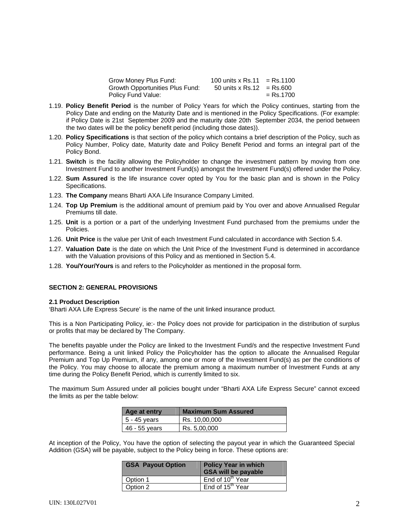| Grow Money Plus Fund:           | 100 units x Rs.11         | = Rs.1100   |
|---------------------------------|---------------------------|-------------|
| Growth Opportunities Plus Fund: | 50 units x Rs.12 = Rs.600 |             |
| Policy Fund Value:              |                           | $=$ Rs.1700 |

- 1.19. **Policy Benefit Period** is the number of Policy Years for which the Policy continues, starting from the Policy Date and ending on the Maturity Date and is mentioned in the Policy Specifications. (For example: if Policy Date is 21st September 2009 and the maturity date 20th September 2034, the period between the two dates will be the policy benefit period (including those dates)).
- 1.20. **Policy Specifications** is that section of the policy which contains a brief description of the Policy, such as Policy Number, Policy date, Maturity date and Policy Benefit Period and forms an integral part of the Policy Bond.
- 1.21. **Switch** is the facility allowing the Policyholder to change the investment pattern by moving from one Investment Fund to another Investment Fund(s) amongst the Investment Fund(s) offered under the Policy.
- 1.22. **Sum Assured** is the life insurance cover opted by You for the basic plan and is shown in the Policy Specifications.
- 1.23. **The Company** means Bharti AXA Life Insurance Company Limited.
- 1.24. **Top Up Premium** is the additional amount of premium paid by You over and above Annualised Regular Premiums till date.
- 1.25. **Unit** is a portion or a part of the underlying Investment Fund purchased from the premiums under the Policies.
- 1.26. **Unit Price** is the value per Unit of each Investment Fund calculated in accordance with Section 5.4.
- 1.27. **Valuation Date** is the date on which the Unit Price of the Investment Fund is determined in accordance with the Valuation provisions of this Policy and as mentioned in Section 5.4.
- 1.28. **You/Your/Yours** is and refers to the Policyholder as mentioned in the proposal form.

#### **SECTION 2: GENERAL PROVISIONS**

#### **2.1 Product Description**

'Bharti AXA Life Express Secure' is the name of the unit linked insurance product.

This is a Non Participating Policy, ie:- the Policy does not provide for participation in the distribution of surplus or profits that may be declared by The Company.

The benefits payable under the Policy are linked to the Investment Fund/s and the respective Investment Fund performance. Being a unit linked Policy the Policyholder has the option to allocate the Annualised Regular Premium and Top Up Premium, if any, among one or more of the Investment Fund(s) as per the conditions of the Policy. You may choose to allocate the premium among a maximum number of Investment Funds at any time during the Policy Benefit Period, which is currently limited to six.

The maximum Sum Assured under all policies bought under "Bharti AXA Life Express Secure" cannot exceed the limits as per the table below:

| Age at entry  | <b>Maximum Sum Assured</b> |
|---------------|----------------------------|
| 5 - 45 years  | Rs. 10,00,000              |
| 46 - 55 years | Rs. 5,00,000               |

At inception of the Policy, You have the option of selecting the payout year in which the Guaranteed Special Addition (GSA) will be payable, subject to the Policy being in force. These options are:

| <b>GSA Payout Option</b> | <b>Policy Year in which</b><br><b>GSA will be payable</b> |
|--------------------------|-----------------------------------------------------------|
| Option 1                 | End of 10 <sup>th</sup> Year                              |
| Option 2                 | End of 15 <sup>th</sup> Year                              |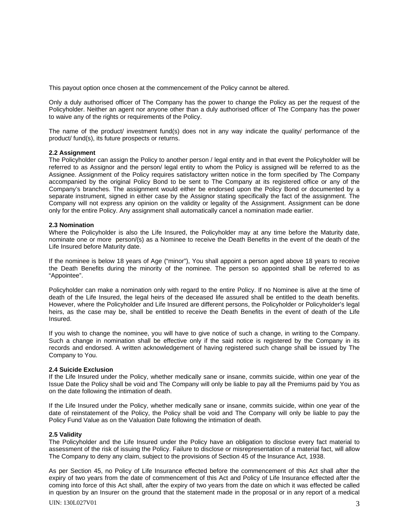This payout option once chosen at the commencement of the Policy cannot be altered.

Only a duly authorised officer of The Company has the power to change the Policy as per the request of the Policyholder. Neither an agent nor anyone other than a duly authorised officer of The Company has the power to waive any of the rights or requirements of the Policy.

The name of the product/ investment fund(s) does not in any way indicate the quality/ performance of the product/ fund(s), its future prospects or returns.

### **2.2 Assignment**

The Policyholder can assign the Policy to another person / legal entity and in that event the Policyholder will be referred to as Assignor and the person/ legal entity to whom the Policy is assigned will be referred to as the Assignee. Assignment of the Policy requires satisfactory written notice in the form specified by The Company accompanied by the original Policy Bond to be sent to The Company at its registered office or any of the Company's branches. The assignment would either be endorsed upon the Policy Bond or documented by a separate instrument, signed in either case by the Assignor stating specifically the fact of the assignment. The Company will not express any opinion on the validity or legality of the Assignment. Assignment can be done only for the entire Policy. Any assignment shall automatically cancel a nomination made earlier.

#### **2.3 Nomination**

Where the Policyholder is also the Life Insured, the Policyholder may at any time before the Maturity date, nominate one or more person/(s) as a Nominee to receive the Death Benefits in the event of the death of the Life Insured before Maturity date.

If the nominee is below 18 years of Age ("minor"), You shall appoint a person aged above 18 years to receive the Death Benefits during the minority of the nominee. The person so appointed shall be referred to as "Appointee".

Policyholder can make a nomination only with regard to the entire Policy. If no Nominee is alive at the time of death of the Life Insured, the legal heirs of the deceased life assured shall be entitled to the death benefits. However, where the Policyholder and Life Insured are different persons, the Policyholder or Policyholder's legal heirs, as the case may be, shall be entitled to receive the Death Benefits in the event of death of the Life Insured.

If you wish to change the nominee, you will have to give notice of such a change, in writing to the Company. Such a change in nomination shall be effective only if the said notice is registered by the Company in its records and endorsed. A written acknowledgement of having registered such change shall be issued by The Company to You.

#### **2.4 Suicide Exclusion**

If the Life Insured under the Policy, whether medically sane or insane, commits suicide, within one year of the Issue Date the Policy shall be void and The Company will only be liable to pay all the Premiums paid by You as on the date following the intimation of death.

If the Life Insured under the Policy, whether medically sane or insane, commits suicide, within one year of the date of reinstatement of the Policy, the Policy shall be void and The Company will only be liable to pay the Policy Fund Value as on the Valuation Date following the intimation of death.

#### **2.5 Validity**

The Policyholder and the Life Insured under the Policy have an obligation to disclose every fact material to assessment of the risk of issuing the Policy. Failure to disclose or misrepresentation of a material fact, will allow The Company to deny any claim, subject to the provisions of Section 45 of the Insurance Act, 1938.

As per Section 45, no Policy of Life Insurance effected before the commencement of this Act shall after the expiry of two years from the date of commencement of this Act and Policy of Life Insurance effected after the coming into force of this Act shall, after the expiry of two years from the date on which it was effected be called in question by an Insurer on the ground that the statement made in the proposal or in any report of a medical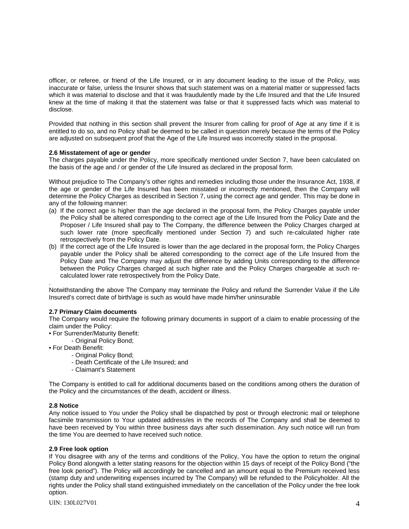officer, or referee, or friend of the Life Insured, or in any document leading to the issue of the Policy, was inaccurate or false, unless the Insurer shows that such statement was on a material matter or suppressed facts which it was material to disclose and that it was fraudulently made by the Life Insured and that the Life Insured knew at the time of making it that the statement was false or that it suppressed facts which was material to disclose.

Provided that nothing in this section shall prevent the Insurer from calling for proof of Age at any time if it is entitled to do so, and no Policy shall be deemed to be called in question merely because the terms of the Policy are adjusted on subsequent proof that the Age of the Life Insured was incorrectly stated in the proposal.

### **2.6 Misstatement of age or gender**

The charges payable under the Policy, more specifically mentioned under Section 7, have been calculated on the basis of the age and / or gender of the Life Insured as declared in the proposal form.

Without prejudice to The Company's other rights and remedies including those under the Insurance Act, 1938, if the age or gender of the Life Insured has been misstated or incorrectly mentioned, then the Company will determine the Policy Charges as described in Section 7, using the correct age and gender. This may be done in any of the following manner:

- (a) If the correct age is higher than the age declared in the proposal form, the Policy Charges payable under the Policy shall be altered corresponding to the correct age of the Life Insured from the Policy Date and the Proposer / Life Insured shall pay to The Company, the difference between the Policy Charges charged at such lower rate (more specifically mentioned under Section 7) and such re-calculated higher rate retrospectively from the Policy Date.
- (b) If the correct age of the Life Insured is lower than the age declared in the proposal form, the Policy Charges payable under the Policy shall be altered corresponding to the correct age of the Life Insured from the Policy Date and The Company may adjust the difference by adding Units corresponding to the difference between the Policy Charges charged at such higher rate and the Policy Charges chargeable at such recalculated lower rate retrospectively from the Policy Date.

Notwithstanding the above The Company may terminate the Policy and refund the Surrender Value if the Life Insured's correct date of birth/age is such as would have made him/her uninsurable

### **2.7 Primary Claim documents**

The Company would require the following primary documents in support of a claim to enable processing of the claim under the Policy:

- For Surrender/Maturity Benefit:
- Original Policy Bond;
- For Death Benefit:
	- Original Policy Bond;
	- Death Certificate of the Life Insured; and
	- Claimant's Statement

The Company is entitled to call for additional documents based on the conditions among others the duration of the Policy and the circumstances of the death, accident or illness.

### **2.8 Notice**

.

Any notice issued to You under the Policy shall be dispatched by post or through electronic mail or telephone facsimile transmission to Your updated address/es in the records of The Company and shall be deemed to have been received by You within three business days after such dissemination. Any such notice will run from the time You are deemed to have received such notice.

### **2.9 Free look option**

If You disagree with any of the terms and conditions of the Policy, You have the option to return the original Policy Bond alongwith a letter stating reasons for the objection within 15 days of receipt of the Policy Bond ("the free look period"). The Policy will accordingly be cancelled and an amount equal to the Premium received less (stamp duty and underwriting expenses incurred by The Company) will be refunded to the Policyholder. All the rights under the Policy shall stand extinguished immediately on the cancellation of the Policy under the free look option.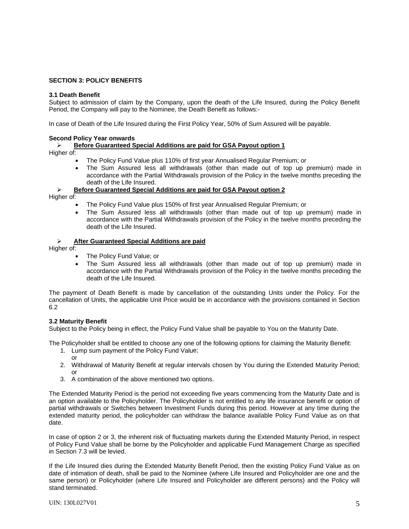# **SECTION 3: POLICY BENEFITS**

### **3.1 Death Benefit**

Subject to admission of claim by the Company, upon the death of the Life Insured, during the Policy Benefit Period, the Company will pay to the Nominee, the Death Benefit as follows:-

In case of Death of the Life Insured during the First Policy Year, 50% of Sum Assured will be payable.

### **Second Policy Year onwards**

¾ **Before Guaranteed Special Additions are paid for GSA Payout option 1**

Higher of:

- The Policy Fund Value plus 110% of first year Annualised Regular Premium; or
- The Sum Assured less all withdrawals (other than made out of top up premium) made in accordance with the Partial Withdrawals provision of the Policy in the twelve months preceding the death of the Life Insured.

# ¾ **Before Guaranteed Special Additions are paid for GSA Payout option 2**

Higher of:

- The Policy Fund Value plus 150% of first year Annualised Regular Premium; or
- The Sum Assured less all withdrawals (other than made out of top up premium) made in accordance with the Partial Withdrawals provision of the Policy in the twelve months preceding the death of the Life Insured.

# ¾ **After Guaranteed Special Additions are paid**

Higher of:

- The Policy Fund Value; or
- The Sum Assured less all withdrawals (other than made out of top up premium) made in accordance with the Partial Withdrawals provision of the Policy in the twelve months preceding the death of the Life Insured.

The payment of Death Benefit is made by cancellation of the outstanding Units under the Policy. For the cancellation of Units, the applicable Unit Price would be in accordance with the provisions contained in Section 6.2

### **3.2 Maturity Benefit**

Subject to the Policy being in effect, the Policy Fund Value shall be payable to You on the Maturity Date.

The Policyholder shall be entitled to choose any one of the following options for claiming the Maturity Benefit:

- 1. Lump sum payment of the Policy Fund Value; or
- 2. Withdrawal of Maturity Benefit at regular intervals chosen by You during the Extended Maturity Period; or
- 3. A combination of the above mentioned two options.

The Extended Maturity Period is the period not exceeding five years commencing from the Maturity Date and is an option available to the Policyholder. The Policyholder is not entitled to any life insurance benefit or option of partial withdrawals or Switches between Investment Funds during this period. However at any time during the extended maturity period, the policyholder can withdraw the balance available Policy Fund Value as on that date.

In case of option 2 or 3, the inherent risk of fluctuating markets during the Extended Maturity Period, in respect of Policy Fund Value shall be borne by the Policyholder and applicable Fund Management Charge as specified in Section 7.3 will be levied.

If the Life Insured dies during the Extended Maturity Benefit Period, then the existing Policy Fund Value as on date of intimation of death, shall be paid to the Nominee (where Life Insured and Policyholder are one and the same person) or Policyholder (where Life Insured and Policyholder are different persons) and the Policy will stand terminated.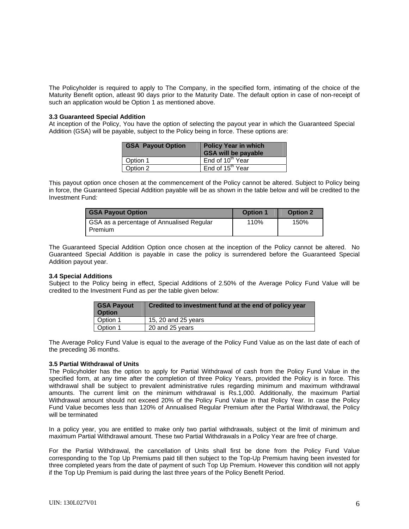The Policyholder is required to apply to The Company, in the specified form, intimating of the choice of the Maturity Benefit option, atleast 90 days prior to the Maturity Date. The default option in case of non-receipt of such an application would be Option 1 as mentioned above.

#### **3.3 Guaranteed Special Addition**

At inception of the Policy, You have the option of selecting the payout year in which the Guaranteed Special Addition (GSA) will be payable, subject to the Policy being in force. These options are:

| <b>GSA Payout Option</b> | <b>Policy Year in which</b><br><b>GSA will be payable</b> |
|--------------------------|-----------------------------------------------------------|
| Option 1                 | End of 10 <sup>th</sup> Year                              |
| Option 2                 | End of 15 <sup>th</sup> Year                              |

This payout option once chosen at the commencement of the Policy cannot be altered. Subject to Policy being in force, the Guaranteed Special Addition payable will be as shown in the table below and will be credited to the Investment Fund*:*

| <b>GSA Payout Option</b>                               | <b>Option 1</b> | <b>Option 2</b> |
|--------------------------------------------------------|-----------------|-----------------|
| GSA as a percentage of Annualised Regular<br>I Premium | 110%            | 150%            |

The Guaranteed Special Addition Option once chosen at the inception of the Policy cannot be altered. No Guaranteed Special Addition is payable in case the policy is surrendered before the Guaranteed Special Addition payout year.

### **3.4 Special Additions**

Subject to the Policy being in effect, Special Additions of 2.50% of the Average Policy Fund Value will be credited to the Investment Fund as per the table given below:

| <b>GSA Payout</b><br><b>Option</b> | Credited to investment fund at the end of policy year |
|------------------------------------|-------------------------------------------------------|
| Option 1                           | 15, 20 and 25 years                                   |
| Option 1                           | 20 and 25 years                                       |

The Average Policy Fund Value is equal to the average of the Policy Fund Value as on the last date of each of the preceding 36 months.

### **3.5 Partial Withdrawal of Units**

The Policyholder has the option to apply for Partial Withdrawal of cash from the Policy Fund Value in the specified form, at any time after the completion of three Policy Years, provided the Policy is in force. This withdrawal shall be subject to prevalent administrative rules regarding minimum and maximum withdrawal amounts. The current limit on the minimum withdrawal is Rs.1,000. Additionally, the maximum Partial Withdrawal amount should not exceed 20% of the Policy Fund Value in that Policy Year. In case the Policy Fund Value becomes less than 120% of Annualised Regular Premium after the Partial Withdrawal, the Policy will be terminated

In a policy year, you are entitled to make only two partial withdrawals, subject ot the limit of minimum and maximum Partial Withdrawal amount. These two Partial Withdrawals in a Policy Year are free of charge.

For the Partial Withdrawal, the cancellation of Units shall first be done from the Policy Fund Value corresponding to the Top Up Premiums paid till then subject to the Top-Up Premium having been invested for three completed years from the date of payment of such Top Up Premium. However this condition will not apply if the Top Up Premium is paid during the last three years of the Policy Benefit Period.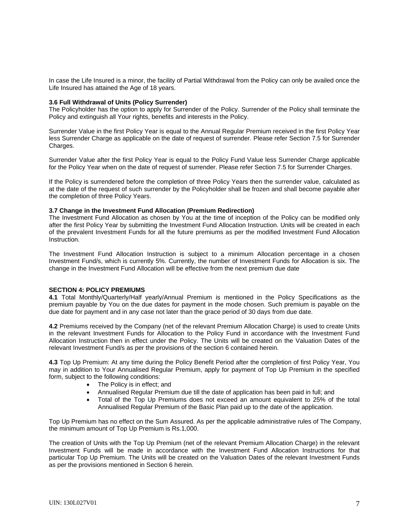In case the Life Insured is a minor, the facility of Partial Withdrawal from the Policy can only be availed once the Life Insured has attained the Age of 18 years.

#### **3.6 Full Withdrawal of Units (Policy Surrender)**

The Policyholder has the option to apply for Surrender of the Policy. Surrender of the Policy shall terminate the Policy and extinguish all Your rights, benefits and interests in the Policy.

Surrender Value in the first Policy Year is equal to the Annual Regular Premium received in the first Policy Year less Surrender Charge as applicable on the date of request of surrender. Please refer Section 7.5 for Surrender Charges.

Surrender Value after the first Policy Year is equal to the Policy Fund Value less Surrender Charge applicable for the Policy Year when on the date of request of surrender. Please refer Section 7.5 for Surrender Charges.

If the Policy is surrendered before the completion of three Policy Years then the surrender value, calculated as at the date of the request of such surrender by the Policyholder shall be frozen and shall become payable after the completion of three Policy Years.

#### **3.7 Change in the Investment Fund Allocation (Premium Redirection)**

The Investment Fund Allocation as chosen by You at the time of inception of the Policy can be modified only after the first Policy Year by submitting the Investment Fund Allocation Instruction. Units will be created in each of the prevalent Investment Funds for all the future premiums as per the modified Investment Fund Allocation Instruction.

The Investment Fund Allocation Instruction is subject to a minimum Allocation percentage in a chosen Investment Fund/s, which is currently 5%. Currently, the number of Investment Funds for Allocation is six. The change in the Investment Fund Allocation will be effective from the next premium due date

### **SECTION 4: POLICY PREMIUMS**

**4.1** Total Monthly/Quarterly/Half yearly/Annual Premium is mentioned in the Policy Specifications as the premium payable by You on the due dates for payment in the mode chosen. Such premium is payable on the due date for payment and in any case not later than the grace period of 30 days from due date.

**4.2** Premiums received by the Company (net of the relevant Premium Allocation Charge) is used to create Units in the relevant Investment Funds for Allocation to the Policy Fund in accordance with the Investment Fund Allocation Instruction then in effect under the Policy. The Units will be created on the Valuation Dates of the relevant Investment Fund/s as per the provisions of the section 6 contained herein.

**4.3** Top Up Premium: At any time during the Policy Benefit Period after the completion of first Policy Year, You may in addition to Your Annualised Regular Premium, apply for payment of Top Up Premium in the specified form, subject to the following conditions:

- The Policy is in effect; and
- Annualised Regular Premium due till the date of application has been paid in full; and
- Total of the Top Up Premiums does not exceed an amount equivalent to 25% of the total Annualised Regular Premium of the Basic Plan paid up to the date of the application.

Top Up Premium has no effect on the Sum Assured. As per the applicable administrative rules of The Company, the minimum amount of Top Up Premium is Rs.1,000.

The creation of Units with the Top Up Premium (net of the relevant Premium Allocation Charge) in the relevant Investment Funds will be made in accordance with the Investment Fund Allocation Instructions for that particular Top Up Premium. The Units will be created on the Valuation Dates of the relevant Investment Funds as per the provisions mentioned in Section 6 herein.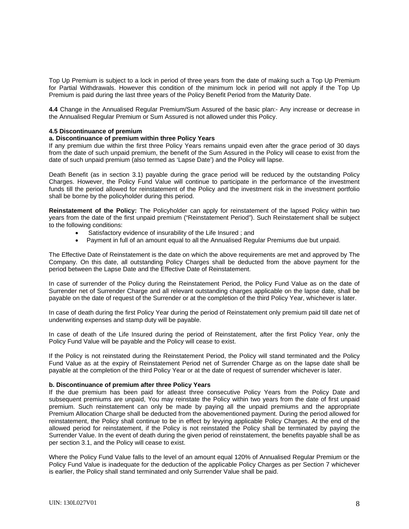Top Up Premium is subject to a lock in period of three years from the date of making such a Top Up Premium for Partial Withdrawals. However this condition of the minimum lock in period will not apply if the Top Up Premium is paid during the last three years of the Policy Benefit Period from the Maturity Date.

**4.4** Change in the Annualised Regular Premium/Sum Assured of the basic plan:- Any increase or decrease in the Annualised Regular Premium or Sum Assured is not allowed under this Policy.

#### **4.5 Discontinuance of premium**

#### **a. Discontinuance of premium within three Policy Years**

If any premium due within the first three Policy Years remains unpaid even after the grace period of 30 days from the date of such unpaid premium, the benefit of the Sum Assured in the Policy will cease to exist from the date of such unpaid premium (also termed as 'Lapse Date') and the Policy will lapse.

Death Benefit (as in section 3.1) payable during the grace period will be reduced by the outstanding Policy Charges. However, the Policy Fund Value will continue to participate in the performance of the investment funds till the period allowed for reinstatement of the Policy and the investment risk in the investment portfolio shall be borne by the policyholder during this period.

**Reinstatement of the Policy:** The Policyholder can apply for reinstatement of the lapsed Policy within two years from the date of the first unpaid premium ("Reinstatement Period"). Such Reinstatement shall be subject to the following conditions:

- Satisfactory evidence of insurability of the Life Insured ; and
- Payment in full of an amount equal to all the Annualised Regular Premiums due but unpaid.

The Effective Date of Reinstatement is the date on which the above requirements are met and approved by The Company. On this date, all outstanding Policy Charges shall be deducted from the above payment for the period between the Lapse Date and the Effective Date of Reinstatement.

In case of surrender of the Policy during the Reinstatement Period, the Policy Fund Value as on the date of Surrender net of Surrender Charge and all relevant outstanding charges applicable on the lapse date, shall be payable on the date of request of the Surrender or at the completion of the third Policy Year, whichever is later.

In case of death during the first Policy Year during the period of Reinstatement only premium paid till date net of underwriting expenses and stamp duty will be payable.

In case of death of the Life Insured during the period of Reinstatement, after the first Policy Year, only the Policy Fund Value will be payable and the Policy will cease to exist.

If the Policy is not reinstated during the Reinstatement Period, the Policy will stand terminated and the Policy Fund Value as at the expiry of Reinstatement Period net of Surrender Charge as on the lapse date shall be payable at the completion of the third Policy Year or at the date of request of surrender whichever is later.

#### **b. Discontinuance of premium after three Policy Years**

If the due premium has been paid for atleast three consecutive Policy Years from the Policy Date and subsequent premiums are unpaid, You may reinstate the Policy within two years from the date of first unpaid premium. Such reinstatement can only be made by paying all the unpaid premiums and the appropriate Premium Allocation Charge shall be deducted from the abovementioned payment. During the period allowed for reinstatement, the Policy shall continue to be in effect by levying applicable Policy Charges. At the end of the allowed period for reinstatement, if the Policy is not reinstated the Policy shall be terminated by paying the Surrender Value. In the event of death during the given period of reinstatement, the benefits payable shall be as per section 3.1, and the Policy will cease to exist.

Where the Policy Fund Value falls to the level of an amount equal 120% of Annualised Regular Premium or the Policy Fund Value is inadequate for the deduction of the applicable Policy Charges as per Section 7 whichever is earlier, the Policy shall stand terminated and only Surrender Value shall be paid.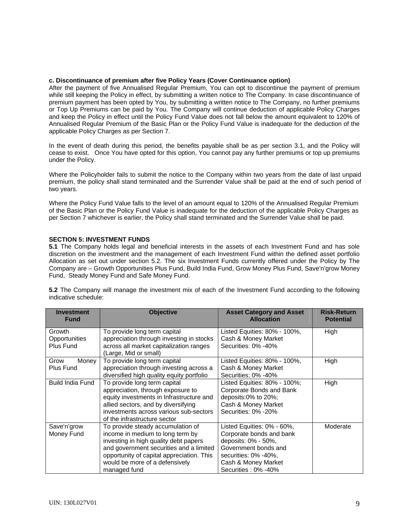### **c. Discontinuance of premium after five Policy Years (Cover Continuance option)**

After the payment of five Annualised Regular Premium, You can opt to discontinue the payment of premium while still keeping the Policy in effect, by submitting a written notice to The Company. In case discontinuance of premium payment has been opted by You, by submitting a written notice to The Company, no further premiums or Top Up Premiums can be paid by You. The Company will continue deduction of applicable Policy Charges and keep the Policy in effect until the Policy Fund Value does not fall below the amount equivalent to 120% of Annualised Regular Premium of the Basic Plan or the Policy Fund Value is inadequate for the deduction of the applicable Policy Charges as per Section 7.

In the event of death during this period, the benefits payable shall be as per section 3.1, and the Policy will cease to exist. Once You have opted for this option, You cannot pay any further premiums or top up premiums under the Policy.

Where the Policyholder fails to submit the notice to the Company within two years from the date of last unpaid premium, the policy shall stand terminated and the Surrender Value shall be paid at the end of such period of two years.

Where the Policy Fund Value falls to the level of an amount equal to 120% of the Annualised Regular Premium of the Basic Plan or the Policy Fund Value is inadequate for the deduction of the applicable Policy Charges as per Section 7 whichever is earlier, the Policy shall stand terminated and the Surrender Value shall be paid.

# **SECTION 5: INVESTMENT FUNDS**

**5.1** The Company holds legal and beneficial interests in the assets of each Investment Fund and has sole discretion on the investment and the management of each Investment Fund within the defined asset portfolio Allocation as set out under section 5.2. The six Investment Funds currently offered under the Policy by The Company are – Growth Opportunities Plus Fund, Build India Fund, Grow Money Plus Fund, Save'n'grow Money Fund, Steady Money Fund and Safe Money Fund.

**5.2** The Company will manage the investment mix of each of the Investment Fund according to the following indicative schedule:

| <b>Investment</b><br><b>Fund</b>     | <b>Objective</b>                                                                                                                                                                                                                                         | <b>Asset Category and Asset</b><br><b>Allocation</b>                                                                                                                        | <b>Risk-Return</b><br><b>Potential</b> |
|--------------------------------------|----------------------------------------------------------------------------------------------------------------------------------------------------------------------------------------------------------------------------------------------------------|-----------------------------------------------------------------------------------------------------------------------------------------------------------------------------|----------------------------------------|
| Growth<br>Opportunities<br>Plus Fund | To provide long term capital<br>appreciation through investing in stocks<br>across all market capitalization ranges<br>(Large, Mid or small)                                                                                                             | Listed Equities: 80% - 100%,<br>Cash & Money Market<br>Securities: 0% -40%                                                                                                  | High                                   |
| Money<br>Grow<br><b>Plus Fund</b>    | To provide long term capital<br>appreciation through investing across a<br>diversified high quality equity portfolio                                                                                                                                     | Listed Equities: 80% - 100%,<br>Cash & Money Market<br>Securities: 0% -40%                                                                                                  | High                                   |
| <b>Build India Fund</b>              | To provide long term capital<br>appreciation, through exposure to<br>equity investments in Infrastructure and<br>allied sectors, and by diversifying<br>investments across various sub-sectors<br>of the infrastructure sector                           | Listed Equities: 80% - 100%;<br>Corporate Bonds and Bank<br>deposits:0% to 20%;<br>Cash & Money Market<br>Securities: 0% -20%                                               | High                                   |
| Save'n'grow<br>Money Fund            | To provide steady accumulation of<br>income in medium to long term by<br>investing in high quality debt papers<br>and government securities and a limited<br>opportunity of capital appreciation. This<br>would be more of a defensively<br>managed fund | Listed Equities: 0% - 60%,<br>Corporate bonds and bank<br>deposits: 0% - 50%,<br>Government bonds and<br>securities: 0% -40%,<br>Cash & Money Market<br>Securities: 0% -40% | Moderate                               |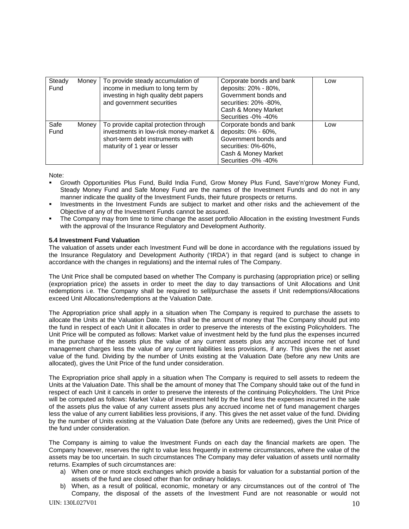| Steady<br>Fund | Money | To provide steady accumulation of<br>income in medium to long term by<br>investing in high quality debt papers<br>and government securities         | Corporate bonds and bank<br>deposits: 20% - 80%,<br>Government bonds and<br>securities: 20% -80%,<br>Cash & Money Market<br>Securities -0% -40% | Low |
|----------------|-------|-----------------------------------------------------------------------------------------------------------------------------------------------------|-------------------------------------------------------------------------------------------------------------------------------------------------|-----|
| Safe<br>Fund   | Money | To provide capital protection through<br>investments in low-risk money-market &<br>short-term debt instruments with<br>maturity of 1 year or lesser | Corporate bonds and bank<br>deposits: 0% - 60%,<br>Government bonds and<br>securities: 0%-60%,<br>Cash & Money Market<br>Securities -0% -40%    | Low |

Note:

- Growth Opportunities Plus Fund, Build India Fund, Grow Money Plus Fund, Save'n'grow Money Fund, Steady Money Fund and Safe Money Fund are the names of the Investment Funds and do not in any manner indicate the quality of the Investment Funds, their future prospects or returns.
- Investments in the Investment Funds are subject to market and other risks and the achievement of the Objective of any of the Investment Funds cannot be assured.
- The Company may from time to time change the asset portfolio Allocation in the existing Investment Funds with the approval of the Insurance Regulatory and Development Authority.

# **5.4 Investment Fund Valuation**

The valuation of assets under each Investment Fund will be done in accordance with the regulations issued by the Insurance Regulatory and Development Authority ('IRDA') in that regard (and is subject to change in accordance with the changes in regulations) and the internal rules of The Company.

The Unit Price shall be computed based on whether The Company is purchasing (appropriation price) or selling (expropriation price) the assets in order to meet the day to day transactions of Unit Allocations and Unit redemptions i.e. The Company shall be required to sell/purchase the assets if Unit redemptions/Allocations exceed Unit Allocations/redemptions at the Valuation Date.

The Appropriation price shall apply in a situation when The Company is required to purchase the assets to allocate the Units at the Valuation Date. This shall be the amount of money that The Company should put into the fund in respect of each Unit it allocates in order to preserve the interests of the existing Policyholders. The Unit Price will be computed as follows: Market value of investment held by the fund plus the expenses incurred in the purchase of the assets plus the value of any current assets plus any accrued income net of fund management charges less the value of any current liabilities less provisions, if any. This gives the net asset value of the fund. Dividing by the number of Units existing at the Valuation Date (before any new Units are allocated), gives the Unit Price of the fund under consideration.

The Expropriation price shall apply in a situation when The Company is required to sell assets to redeem the Units at the Valuation Date. This shall be the amount of money that The Company should take out of the fund in respect of each Unit it cancels in order to preserve the interests of the continuing Policyholders. The Unit Price will be computed as follows: Market Value of investment held by the fund less the expenses incurred in the sale of the assets plus the value of any current assets plus any accrued income net of fund management charges less the value of any current liabilities less provisions, if any. This gives the net asset value of the fund. Dividing by the number of Units existing at the Valuation Date (before any Units are redeemed), gives the Unit Price of the fund under consideration.

The Company is aiming to value the Investment Funds on each day the financial markets are open. The Company however, reserves the right to value less frequently in extreme circumstances, where the value of the assets may be too uncertain. In such circumstances The Company may defer valuation of assets until normality returns. Examples of such circumstances are:

- a) When one or more stock exchanges which provide a basis for valuation for a substantial portion of the assets of the fund are closed other than for ordinary holidays.
- b) When, as a result of political, economic, monetary or any circumstances out of the control of The Company, the disposal of the assets of the Investment Fund are not reasonable or would not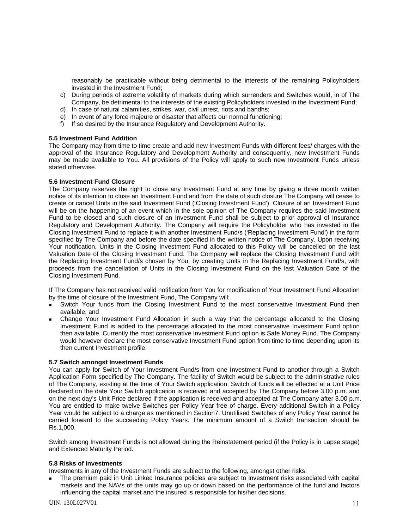reasonably be practicable without being detrimental to the interests of the remaining Policyholders invested in the Investment Fund;

- c) During periods of extreme volatility of markets during which surrenders and Switches would, in of The Company, be detrimental to the interests of the existing Policyholders invested in the Investment Fund;
- d) In case of natural calamities, strikes, war, civil unrest, riots and bandhs;
- e) In event of any force majeure or disaster that affects our normal functioning;
- f) If so desired by the Insurance Regulatory and Development Authority.

# **5.5 Investment Fund Addition**

The Company may from time to time create and add new Investment Funds with different fees/ charges with the approval of the Insurance Regulatory and Development Authority and consequently, new Investment Funds may be made available to You. All provisions of the Policy will apply to such new Investment Funds unless stated otherwise.

# **5.6 Investment Fund Closure**

The Company reserves the right to close any Investment Fund at any time by giving a three month written notice of its intention to close an Investment Fund and from the date of such closure The Company will cease to create or cancel Units in the said Investment Fund ('Closing Investment Fund'). Closure of an Investment Fund will be on the happening of an event which in the sole opinion of The Company requires the said Investment Fund to be closed and such closure of an Investment Fund shall be subject to prior approval of Insurance Regulatory and Development Authority. The Company will require the Policyholder who has invested in the Closing Investment Fund to replace it with another Investment Fund/s ('Replacing Investment Fund') in the form specified by The Company and before the date specified in the written notice of The Company. Upon receiving Your notification, Units in the Closing Investment Fund allocated to this Policy will be cancelled on the last Valuation Date of the Closing Investment Fund. The Company will replace the Closing Investment Fund with the Replacing Investment Fund/s chosen by You, by creating Units in the Replacing Investment Fund/s, with proceeds from the cancellation of Units in the Closing Investment Fund on the last Valuation Date of the Closing Investment Fund.

If The Company has not received valid notification from You for modification of Your Investment Fund Allocation by the time of closure of the Investment Fund, The Company will:

- Switch Your funds from the Closing Investment Fund to the most conservative Investment Fund then available; and
- Change Your Investment Fund Allocation in such a way that the percentage allocated to the Closing Investment Fund is added to the percentage allocated to the most conservative Investment Fund option then available. Currently the most conservative Investment Fund option is Safe Money Fund. The Company would however declare the most conservative Investment Fund option from time to time depending upon its then current Investment profile.

### **5.7 Switch amongst Investment Funds**

You can apply for Switch of Your Investment Fund/s from one Investment Fund to another through a Switch Application Form specified by The Company. The facility of Switch would be subject to the administrative rules of The Company, existing at the time of Your Switch application. Switch of funds will be effected at a Unit Price declared on the date Your Switch application is received and accepted by The Company before 3.00 p.m. and on the next day's Unit Price declared if the application is received and accepted at The Company after 3.00 p.m. You are entitled to make twelve Switches per Policy Year free of charge. Every additional Switch in a Policy Year would be subject to a charge as mentioned in Section7. Unutilised Switches of any Policy Year cannot be carried forward to the succeeding Policy Years. The minimum amount of a Switch transaction should be Rs.1,000.

Switch among Investment Funds is not allowed during the Reinstatement period (if the Policy is in Lapse stage) and Extended Maturity Period.

### **5.8 Risks of investments**

Investments in any of the Investment Funds are subject to the following, amongst other risks:

 The premium paid in Unit Linked Insurance policies are subject to investment risks associated with capital markets and the NAVs of the units may go up or down based on the performance of the fund and factors influencing the capital market and the insured is responsible for his/her decisions.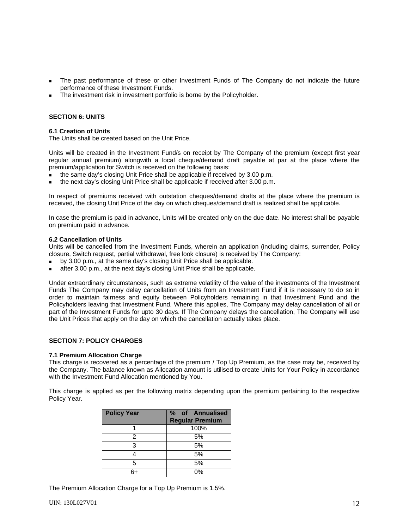- The past performance of these or other Investment Funds of The Company do not indicate the future performance of these Investment Funds.
- The investment risk in investment portfolio is borne by the Policyholder.

### **SECTION 6: UNITS**

### **6.1 Creation of Units**

The Units shall be created based on the Unit Price.

Units will be created in the Investment Fund/s on receipt by The Company of the premium (except first year regular annual premium) alongwith a local cheque/demand draft payable at par at the place where the premium/application for Switch is received on the following basis:

- the same day's closing Unit Price shall be applicable if received by 3.00 p.m.
- the next day's closing Unit Price shall be applicable if received after 3.00 p.m.

In respect of premiums received with outstation cheques/demand drafts at the place where the premium is received, the closing Unit Price of the day on which cheques/demand draft is realized shall be applicable.

In case the premium is paid in advance, Units will be created only on the due date. No interest shall be payable on premium paid in advance.

#### **6.2 Cancellation of Units**

Units will be cancelled from the Investment Funds, wherein an application (including claims, surrender, Policy closure, Switch request, partial withdrawal, free look closure) is received by The Company:

- by 3.00 p.m., at the same day's closing Unit Price shall be applicable.
- after 3.00 p.m., at the next day's closing Unit Price shall be applicable.

Under extraordinary circumstances, such as extreme volatility of the value of the investments of the Investment Funds The Company may delay cancellation of Units from an Investment Fund if it is necessary to do so in order to maintain fairness and equity between Policyholders remaining in that Investment Fund and the Policyholders leaving that Investment Fund. Where this applies, The Company may delay cancellation of all or part of the Investment Funds for upto 30 days. If The Company delays the cancellation, The Company will use the Unit Prices that apply on the day on which the cancellation actually takes place.

### **SECTION 7: POLICY CHARGES**

### **7.1 Premium Allocation Charge**

This charge is recovered as a percentage of the premium / Top Up Premium, as the case may be, received by the Company. The balance known as Allocation amount is utilised to create Units for Your Policy in accordance with the Investment Fund Allocation mentioned by You.

This charge is applied as per the following matrix depending upon the premium pertaining to the respective Policy Year.

| <b>Policy Year</b> | % of Annualised<br><b>Regular Premium</b> |
|--------------------|-------------------------------------------|
|                    | 100%                                      |
| 2                  | 5%                                        |
| 3                  | 5%                                        |
|                    | 5%                                        |
| 5                  | 5%                                        |
| հ+                 | 0%                                        |

The Premium Allocation Charge for a Top Up Premium is 1.5%.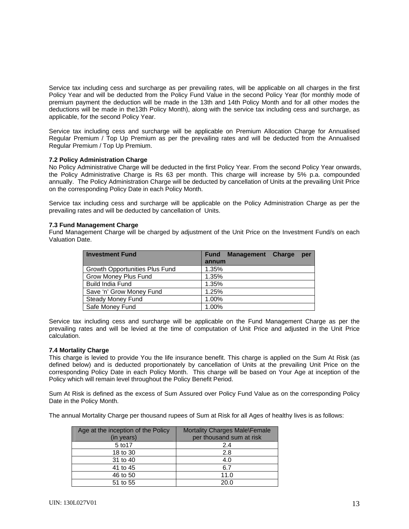Service tax including cess and surcharge as per prevailing rates, will be applicable on all charges in the first Policy Year and will be deducted from the Policy Fund Value in the second Policy Year (for monthly mode of premium payment the deduction will be made in the 13th and 14th Policy Month and for all other modes the deductions will be made in the13th Policy Month), along with the service tax including cess and surcharge, as applicable, for the second Policy Year.

Service tax including cess and surcharge will be applicable on Premium Allocation Charge for Annualised Regular Premium / Top Up Premium as per the prevailing rates and will be deducted from the Annualised Regular Premium / Top Up Premium.

# **7.2 Policy Administration Charge**

No Policy Administrative Charge will be deducted in the first Policy Year. From the second Policy Year onwards, the Policy Administrative Charge is Rs 63 per month. This charge will increase by 5% p.a. compounded annually. The Policy Administration Charge will be deducted by cancellation of Units at the prevailing Unit Price on the corresponding Policy Date in each Policy Month.

Service tax including cess and surcharge will be applicable on the Policy Administration Charge as per the prevailing rates and will be deducted by cancellation of Units.

### **7.3 Fund Management Charge**

Fund Management Charge will be charged by adjustment of the Unit Price on the Investment Fund/s on each Valuation Date.

| <b>Investment Fund</b>         | <b>Management</b><br><b>Charge</b><br><b>Fund</b><br>per |
|--------------------------------|----------------------------------------------------------|
|                                | annum                                                    |
| Growth Opportunities Plus Fund | 1.35%                                                    |
| Grow Money Plus Fund           | 1.35%                                                    |
| <b>Build India Fund</b>        | 1.35%                                                    |
| Save 'n' Grow Money Fund       | 1.25%                                                    |
| <b>Steady Money Fund</b>       | 1.00%                                                    |
| Safe Money Fund                | 1.00%                                                    |

Service tax including cess and surcharge will be applicable on the Fund Management Charge as per the prevailing rates and will be levied at the time of computation of Unit Price and adjusted in the Unit Price calculation.

### **7.4 Mortality Charge**

This charge is levied to provide You the life insurance benefit. This charge is applied on the Sum At Risk (as defined below) and is deducted proportionately by cancellation of Units at the prevailing Unit Price on the corresponding Policy Date in each Policy Month. This charge will be based on Your Age at inception of the Policy which will remain level throughout the Policy Benefit Period.

Sum At Risk is defined as the excess of Sum Assured over Policy Fund Value as on the corresponding Policy Date in the Policy Month.

The annual Mortality Charge per thousand rupees of Sum at Risk for all Ages of healthy lives is as follows:

| Age at the inception of the Policy | Mortality Charges Male\Female |
|------------------------------------|-------------------------------|
| (in years)                         | per thousand sum at risk      |
| 5 to 17                            | 2.4                           |
| 18 to 30                           | 2.8                           |
| 31 to 40                           | 4.0                           |
| 41 to 45                           | 6.7                           |
| 46 to 50                           | 11.0                          |
| 51 to 55                           | 20 O                          |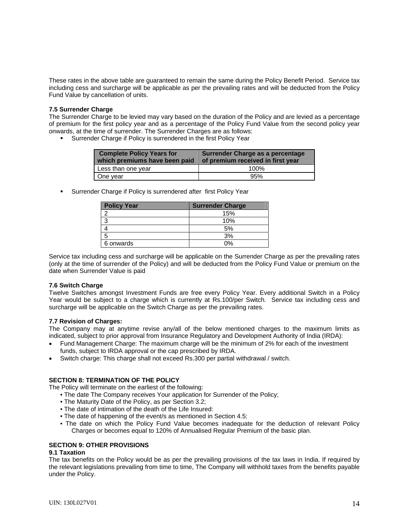These rates in the above table are guaranteed to remain the same during the Policy Benefit Period. Service tax including cess and surcharge will be applicable as per the prevailing rates and will be deducted from the Policy Fund Value by cancellation of units.

### **7.5 Surrender Charge**

The Surrender Charge to be levied may vary based on the duration of the Policy and are levied as a percentage of premium for the first policy year and as a percentage of the Policy Fund Value from the second policy year onwards, at the time of surrender. The Surrender Charges are as follows:

**Surrender Charge if Policy is surrendered in the first Policy Year** 

| <b>Complete Policy Years for</b><br>which premiums have been paid | Surrender Charge as a percentage<br>of premium received in first year |
|-------------------------------------------------------------------|-----------------------------------------------------------------------|
| Less than one year                                                | 100%                                                                  |
| One year                                                          | 95%                                                                   |

**Surrender Charge if Policy is surrendered after first Policy Year** 

| <b>Policy Year</b> | <b>Surrender Charge</b> |
|--------------------|-------------------------|
|                    | 15%                     |
| -3                 | 10%                     |
|                    | 5%                      |
| 5                  | 3%                      |
| 6 onwards          | በ%                      |

Service tax including cess and surcharge will be applicable on the Surrender Charge as per the prevailing rates (only at the time of surrender of the Policy) and will be deducted from the Policy Fund Value or premium on the date when Surrender Value is paid

### **7.6 Switch Charge**

Twelve Switches amongst Investment Funds are free every Policy Year. Every additional Switch in a Policy Year would be subject to a charge which is currently at Rs.100/per Switch. Service tax including cess and surcharge will be applicable on the Switch Charge as per the prevailing rates.

# **7.7 Revision of Charges:**

The Company may at anytime revise any/all of the below mentioned charges to the maximum limits as indicated, subject to prior approval from Insurance Regulatory and Development Authority of India (IRDA):

- Fund Management Charge: The maximum charge will be the minimum of 2% for each of the investment funds, subject to IRDA approval or the cap prescribed by IRDA.
- Switch charge: This charge shall not exceed Rs.300 per partial withdrawal / switch.

# **SECTION 8: TERMINATION OF THE POLICY**

The Policy will terminate on the earliest of the following:

- The date The Company receives Your application for Surrender of the Policy;
- The Maturity Date of the Policy, as per Section 3.2;
- The date of intimation of the death of the Life Insured:
- The date of happening of the event/s as mentioned in Section 4.5:
- The date on which the Policy Fund Value becomes inadequate for the deduction of relevant Policy Charges or becomes equal to 120% of Annualised Regular Premium of the basic plan.

# **SECTION 9: OTHER PROVISIONS**

### **9.1 Taxation**

The tax benefits on the Policy would be as per the prevailing provisions of the tax laws in India. If required by the relevant legislations prevailing from time to time, The Company will withhold taxes from the benefits payable under the Policy.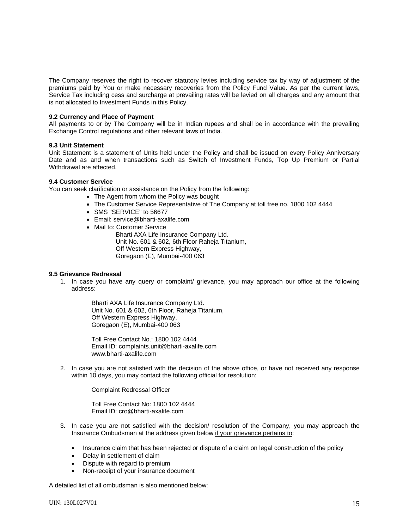The Company reserves the right to recover statutory levies including service tax by way of adjustment of the premiums paid by You or make necessary recoveries from the Policy Fund Value. As per the current laws, Service Tax including cess and surcharge at prevailing rates will be levied on all charges and any amount that is not allocated to Investment Funds in this Policy.

### **9.2 Currency and Place of Payment**

All payments to or by The Company will be in Indian rupees and shall be in accordance with the prevailing Exchange Control regulations and other relevant laws of India.

### **9.3 Unit Statement**

Unit Statement is a statement of Units held under the Policy and shall be issued on every Policy Anniversary Date and as and when transactions such as Switch of Investment Funds, Top Up Premium or Partial Withdrawal are affected.

# **9.4 Customer Service**

You can seek clarification or assistance on the Policy from the following:

- The Agent from whom the Policy was bought
- The Customer Service Representative of The Company at toll free no. 1800 102 4444
- SMS "SERVICE" to 56677
- Email: service@bharti-axalife.com
- Mail to: Customer Service

Bharti AXA Life Insurance Company Ltd. Unit No. 601 & 602, 6th Floor Raheja Titanium, Off Western Express Highway, Goregaon (E), Mumbai-400 063

### **9.5 Grievance Redressal**

1. In case you have any query or complaint/ grievance, you may approach our office at the following address:

> Bharti AXA Life Insurance Company Ltd. Unit No. 601 & 602, 6th Floor, Raheja Titanium, Off Western Express Highway, Goregaon (E), Mumbai-400 063

Toll Free Contact No.: 1800 102 4444 Email ID: complaints.unit@bharti-axalife.com www.bharti-axalife.com

2. In case you are not satisfied with the decision of the above office, or have not received any response within 10 days, you may contact the following official for resolution:

Complaint Redressal Officer

Toll Free Contact No: 1800 102 4444 Email ID: cro@bharti-axalife.com

- 3. In case you are not satisfied with the decision/ resolution of the Company, you may approach the Insurance Ombudsman at the address given below if your grievance pertains to:
	- Insurance claim that has been rejected or dispute of a claim on legal construction of the policy
	- Delay in settlement of claim
	- Dispute with regard to premium
	- Non-receipt of your insurance document

A detailed list of all ombudsman is also mentioned below: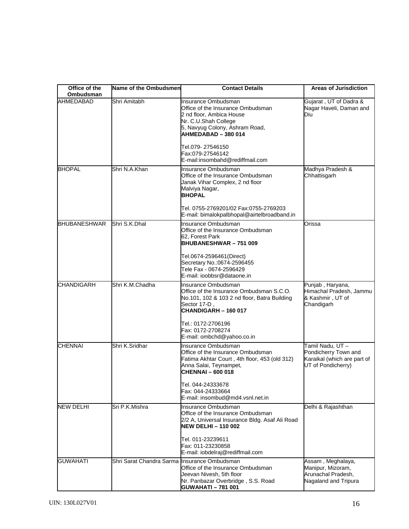| Office of the<br>Ombudsman | Name of the Ombudsmen                        | <b>Contact Details</b>                                                                                                                                                | <b>Areas of Jurisdiction</b>                                                                 |
|----------------------------|----------------------------------------------|-----------------------------------------------------------------------------------------------------------------------------------------------------------------------|----------------------------------------------------------------------------------------------|
| <b>AHMEDABAD</b>           | Shri Amitabh                                 | Insurance Ombudsman<br>Office of the Insurance Ombudsman<br>2 nd floor, Ambica House<br>Nr. C.U.Shah College<br>5, Navyug Colony, Ashram Road,<br>AHMEDABAD - 380 014 | Gujarat, UT of Dadra &<br>Nagar Haveli, Daman and<br>Diu                                     |
|                            |                                              | Tel.079-27546150<br>Fax:079-27546142<br>E-mail:insombahd@rediffmail.com                                                                                               |                                                                                              |
| <b>BHOPAL</b>              | Shri N.A.Khan                                | Insurance Ombudsman<br>Office of the Insurance Ombudsman<br>Janak Vihar Complex, 2 nd floor<br>Malviya Nagar,<br><b>BHOPAL</b>                                        | Madhya Pradesh &<br>Chhattisgarh                                                             |
|                            |                                              | Tel. 0755-2769201/02 Fax:0755-2769203<br>E-mail: bimalokpalbhopal@airtelbroadband.in                                                                                  |                                                                                              |
| <b>BHUBANESHWAR</b>        | Shri S.K.Dhal                                | Insurance Ombudsman<br>Office of the Insurance Ombudsman<br>62, Forest Park<br><b>BHUBANESHWAR-751009</b>                                                             | Orissa                                                                                       |
|                            |                                              | Tel.0674-2596461(Direct)<br>Secretary No.: 0674-2596455<br>Tele Fax - 0674-2596429<br>E-mail: ioobbsr@dataone.in                                                      |                                                                                              |
| <b>CHANDIGARH</b>          | Shri K.M.Chadha                              | Insurance Ombudsman<br>Office of the Insurance Ombudsman S.C.O.<br>No.101, 102 & 103 2 nd floor, Batra Building<br>Sector 17-D,<br>CHANDIGARH - 160 017               | Punjab, Haryana,<br>Himachal Pradesh, Jammu<br>& Kashmir, UT of<br>Chandigarh                |
|                            |                                              | Tel.: 0172-2706196<br>Fax: 0172-2708274<br>E-mail: ombchd@yahoo.co.in                                                                                                 |                                                                                              |
| <b>CHENNAI</b>             | Shri K.Sridhar                               | Insurance Ombudsman<br>Office of the Insurance Ombudsman<br>Fatima Akhtar Court, 4th floor, 453 (old 312)<br>Anna Salai, Teynampet,<br><b>CHENNAI-600018</b>          | Tamil Nadu, UT-<br>Pondicherry Town and<br>Karaikal (which are part of<br>UT of Pondicherry) |
|                            |                                              | Tel. 044-24333678<br>Fax: 044-24333664<br>E-mail: insombud@md4.vsnl.net.in                                                                                            |                                                                                              |
| <b>NEW DELHI</b>           | Sri P.K.Mishra                               | Insurance Ombudsman<br>Office of the Insurance Ombudsman<br>2/2 A, Universal Insurance Bldg. Asaf Ali Road<br><b>NEW DELHI-110002</b>                                 | Delhi & Rajashthan                                                                           |
|                            |                                              | Tel. 011-23239611<br>Fax: 011-23230858<br>E-mail: iobdelraj@rediffmail.com                                                                                            |                                                                                              |
| <b>GUWAHATI</b>            | Shri Sarat Chandra Sarma Insurance Ombudsman | Office of the Insurance Ombudsman<br>Jeevan Nivesh, 5th floor<br>Nr. Panbazar Overbridge, S.S. Road<br><b>GUWAHATI - 781 001</b>                                      | Assam, Meghalaya,<br>Manipur, Mizoram,<br>Arunachal Pradesh,<br>Nagaland and Tripura         |